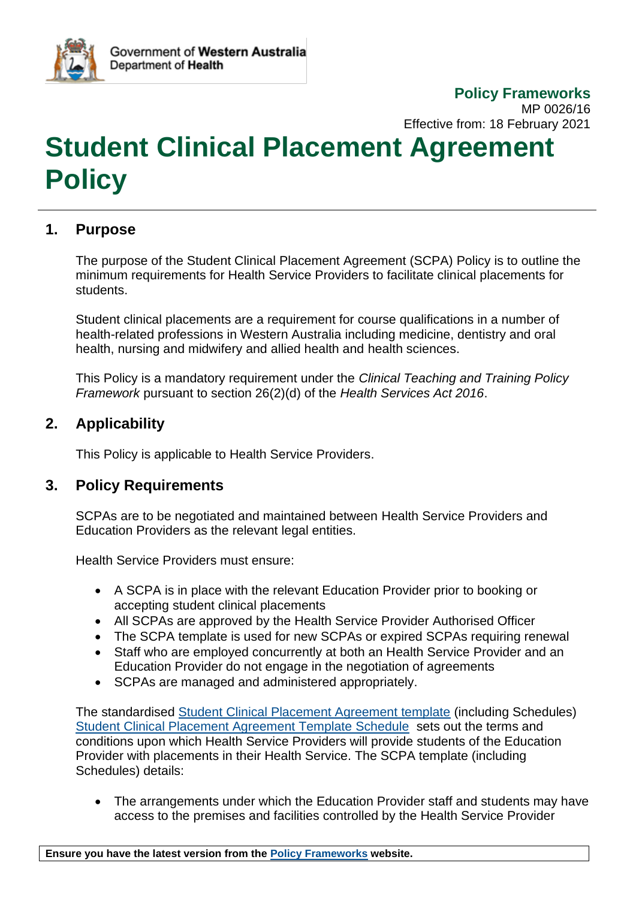

 **Policy Frameworks** MP 0026/16 Effective from: 18 February 2021

# **Student Clinical Placement Agreement Policy**

#### **1. Purpose**

The purpose of the Student Clinical Placement Agreement (SCPA) Policy is to outline the minimum requirements for Health Service Providers to facilitate clinical placements for students.

Student clinical placements are a requirement for course qualifications in a number of health-related professions in Western Australia including medicine, dentistry and oral health, nursing and midwifery and allied health and health sciences.

This Policy is a mandatory requirement under the *Clinical Teaching and Training Policy Framework* pursuant to section 26(2)(d) of the *Health Services Act 2016*.

#### **2. Applicability**

This Policy is applicable to Health Service Providers.

#### **3. Policy Requirements**

SCPAs are to be negotiated and maintained between Health Service Providers and Education Providers as the relevant legal entities.

Health Service Providers must ensure:

- A SCPA is in place with the relevant Education Provider prior to booking or accepting student clinical placements
- All SCPAs are approved by the Health Service Provider Authorised Officer
- The SCPA template is used for new SCPAs or expired SCPAs requiring renewal
- Staff who are employed concurrently at both an Health Service Provider and an Education Provider do not engage in the negotiation of agreements
- SCPAs are managed and administered appropriately.

The standardised [Student Clinical Placement Agreement template](https://ww2.health.wa.gov.au/~/media/Files/Corporate/Policy-Frameworks/Clinical-Teaching-and-Training/Policy/Student-Clinical-Placement-Agreement-Policy/Supporting/Student-Clinical-Placement-Agreement-Template.pdf) (including Schedules) [Student Clinical Placement Agreement Template Schedule](https://ww2.health.wa.gov.au/~/media/Files/Corporate/Policy-Frameworks/Clinical-Teaching-and-Training/Policy/Student-Clinical-Placement-Agreement-Policy/Supporting/WORD/Student-Clinical-Placement-Agreement-Template-Schedule.docx) sets out the terms and conditions upon which Health Service Providers will provide students of the Education Provider with placements in their Health Service. The SCPA template (including Schedules) details:

• The arrangements under which the Education Provider staff and students may have access to the premises and facilities controlled by the Health Service Provider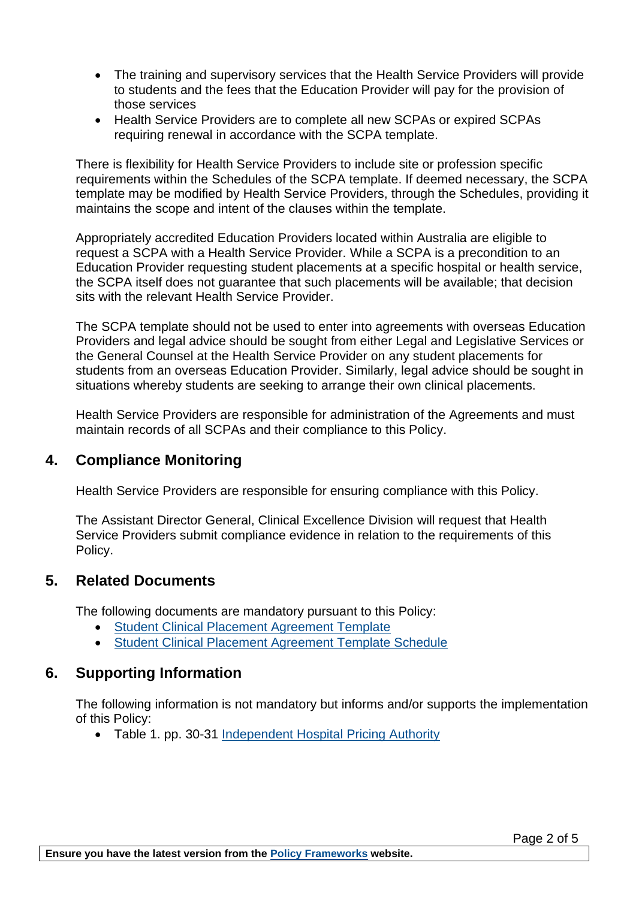- The training and supervisory services that the Health Service Providers will provide to students and the fees that the Education Provider will pay for the provision of those services
- Health Service Providers are to complete all new SCPAs or expired SCPAs requiring renewal in accordance with the SCPA template.

There is flexibility for Health Service Providers to include site or profession specific requirements within the Schedules of the SCPA template. If deemed necessary, the SCPA template may be modified by Health Service Providers, through the Schedules, providing it maintains the scope and intent of the clauses within the template.

Appropriately accredited Education Providers located within Australia are eligible to request a SCPA with a Health Service Provider. While a SCPA is a precondition to an Education Provider requesting student placements at a specific hospital or health service, the SCPA itself does not guarantee that such placements will be available; that decision sits with the relevant Health Service Provider.

The SCPA template should not be used to enter into agreements with overseas Education Providers and legal advice should be sought from either Legal and Legislative Services or the General Counsel at the Health Service Provider on any student placements for students from an overseas Education Provider. Similarly, legal advice should be sought in situations whereby students are seeking to arrange their own clinical placements.

Health Service Providers are responsible for administration of the Agreements and must maintain records of all SCPAs and their compliance to this Policy.

#### **4. Compliance Monitoring**

Health Service Providers are responsible for ensuring compliance with this Policy.

The Assistant Director General, Clinical Excellence Division will request that Health Service Providers submit compliance evidence in relation to the requirements of this Policy.

#### **5. Related Documents**

The following documents are mandatory pursuant to this Policy:

- [Student Clinical Placement Agreement Template](https://ww2.health.wa.gov.au/~/media/Files/Corporate/Policy-Frameworks/Clinical-Teaching-and-Training/Policy/Student-Clinical-Placement-Agreement-Policy/Supporting/Student-Clinical-Placement-Agreement-Template.pdf)
- [Student Clinical Placement Agreement Template Schedule](https://ww2.health.wa.gov.au/~/media/Files/Corporate/Policy-Frameworks/Clinical-Teaching-and-Training/Policy/Student-Clinical-Placement-Agreement-Policy/Supporting/WORD/Student-Clinical-Placement-Agreement-Template-Schedule.docx)

#### **6. Supporting Information**

The following information is not mandatory but informs and/or supports the implementation of this Policy:

• Table 1. pp. 30-31 [Independent Hospital Pricing Authority](https://www.ihpa.gov.au/sites/default/files/publications/ttr-final-report.pdf?acsf_files_redirect)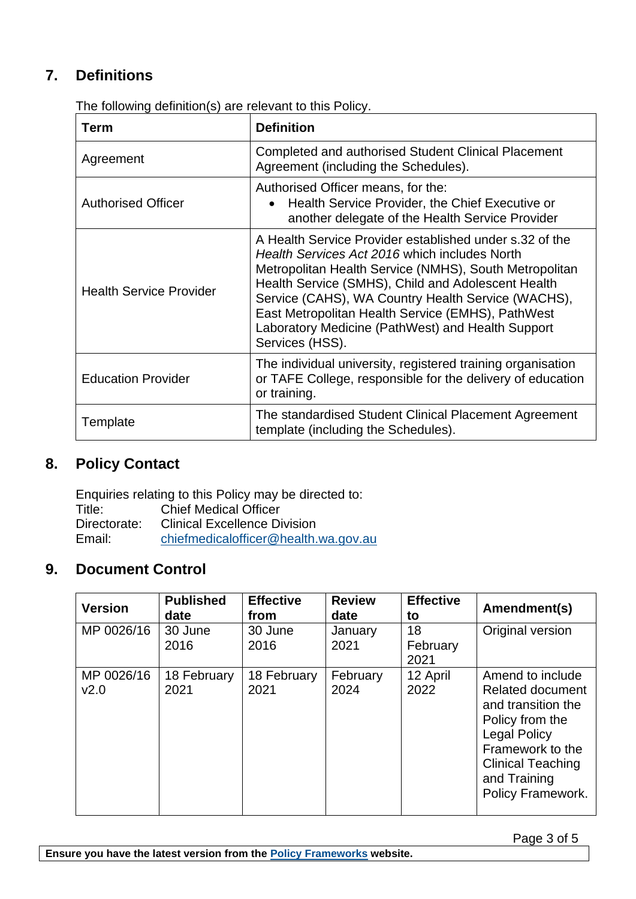# **7. Definitions**

| Term                           | <b>Definition</b>                                                                                                                                                                                                                                                                                                                                                                                           |
|--------------------------------|-------------------------------------------------------------------------------------------------------------------------------------------------------------------------------------------------------------------------------------------------------------------------------------------------------------------------------------------------------------------------------------------------------------|
| Agreement                      | Completed and authorised Student Clinical Placement<br>Agreement (including the Schedules).                                                                                                                                                                                                                                                                                                                 |
| <b>Authorised Officer</b>      | Authorised Officer means, for the:<br>Health Service Provider, the Chief Executive or<br>another delegate of the Health Service Provider                                                                                                                                                                                                                                                                    |
| <b>Health Service Provider</b> | A Health Service Provider established under s.32 of the<br>Health Services Act 2016 which includes North<br>Metropolitan Health Service (NMHS), South Metropolitan<br>Health Service (SMHS), Child and Adolescent Health<br>Service (CAHS), WA Country Health Service (WACHS),<br>East Metropolitan Health Service (EMHS), PathWest<br>Laboratory Medicine (PathWest) and Health Support<br>Services (HSS). |
| <b>Education Provider</b>      | The individual university, registered training organisation<br>or TAFE College, responsible for the delivery of education<br>or training.                                                                                                                                                                                                                                                                   |
| Template                       | The standardised Student Clinical Placement Agreement<br>template (including the Schedules).                                                                                                                                                                                                                                                                                                                |

The following definition(s) are relevant to this Policy.

### **8. Policy Contact**

Enquiries relating to this Policy may be directed to: Chief Medical Officer Directorate: Clinical Excellence Division Email: [chiefmedicalofficer@health.wa.gov.au](mailto:chiefmedicalofficer@health.wa.gov.au)

# **9. Document Control**

| <b>Version</b>     | <b>Published</b><br>date | <b>Effective</b><br>from | <b>Review</b><br>date | <b>Effective</b><br>to | Amendment(s)                                                                                                                                                                                     |
|--------------------|--------------------------|--------------------------|-----------------------|------------------------|--------------------------------------------------------------------------------------------------------------------------------------------------------------------------------------------------|
| MP 0026/16         | 30 June<br>2016          | 30 June<br>2016          | January<br>2021       | 18<br>February<br>2021 | Original version                                                                                                                                                                                 |
| MP 0026/16<br>v2.0 | 18 February<br>2021      | 18 February<br>2021      | February<br>2024      | 12 April<br>2022       | Amend to include<br><b>Related document</b><br>and transition the<br>Policy from the<br><b>Legal Policy</b><br>Framework to the<br><b>Clinical Teaching</b><br>and Training<br>Policy Framework. |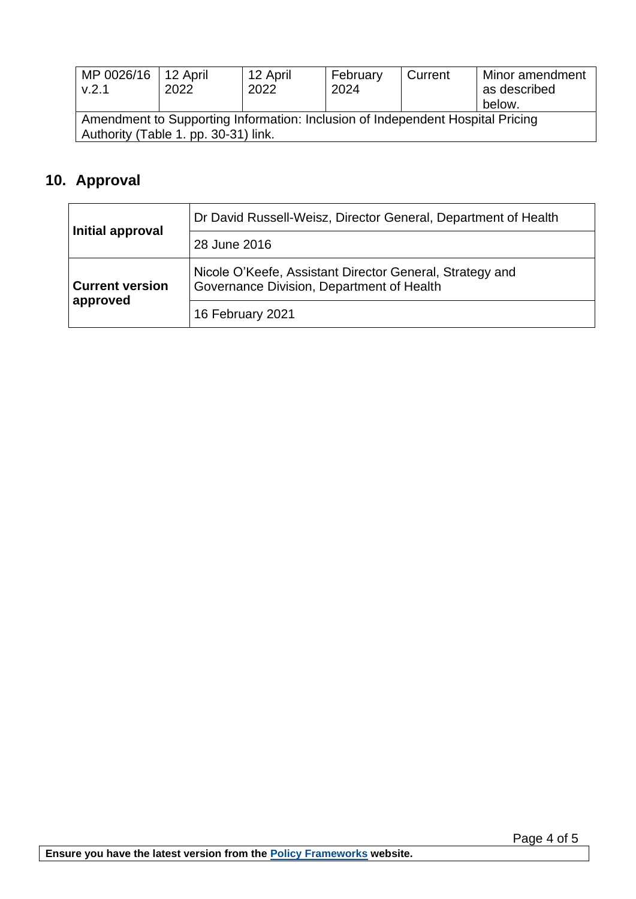| MP 0026/16<br>V.2.1 | 12 April<br>2022                                                                                                       | 12 April<br>2022 | February<br>2024 | Current | Minor amendment<br>as described<br>below. |
|---------------------|------------------------------------------------------------------------------------------------------------------------|------------------|------------------|---------|-------------------------------------------|
|                     | Amendment to Supporting Information: Inclusion of Independent Hospital Pricing<br>Authority (Table 1. pp. 30-31) link. |                  |                  |         |                                           |

# **10. Approval**

| Initial approval                   | Dr David Russell-Weisz, Director General, Department of Health                                        |
|------------------------------------|-------------------------------------------------------------------------------------------------------|
|                                    | 28 June 2016                                                                                          |
| <b>Current version</b><br>approved | Nicole O'Keefe, Assistant Director General, Strategy and<br>Governance Division, Department of Health |
|                                    | 16 February 2021                                                                                      |